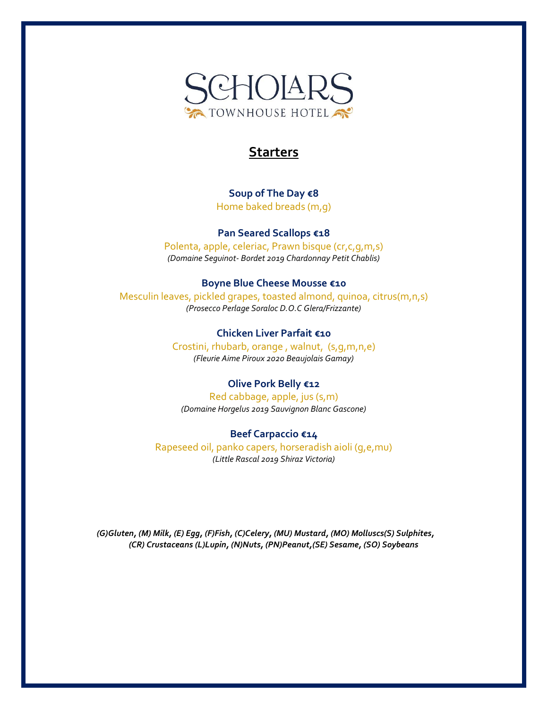

# **Starters**

**Soup of The Day €8** Home baked breads (m,g)

**Pan Seared Scallops €18** Polenta, apple, celeriac, Prawn bisque (cr,c,g,m,s) *(Domaine Seguinot- Bordet 2019 Chardonnay Petit Chablis)*

### **Boyne Blue Cheese Mousse €10**

Mesculin leaves, pickled grapes, toasted almond, quinoa, citrus(m,n,s) *(Prosecco Perlage Soraloc D.O.C Glera/Frizzante)*

### **Chicken Liver Parfait €10**

Crostini, rhubarb, orange , walnut, (s,g,m,n,e) *(Fleurie Aime Piroux 2020 Beaujolais Gamay)*

# **Olive Pork Belly €12**

Red cabbage, apple, jus (s,m) *(Domaine Horgelus 2019 Sauvignon Blanc Gascone)*

### **Beef Carpaccio €14**

Rapeseed oil, panko capers, horseradish aioli (g,e,mu) *(Little Rascal 2019 Shiraz Victoria)*

*(G)Gluten, (M) Milk, (E) Egg, (F)Fish, (C)Celery, (MU) Mustard, (MO) Molluscs(S) Sulphites, (CR) Crustaceans (L)Lupin, (N)Nuts, (PN)Peanut,(SE) Sesame, (SO) Soybeans*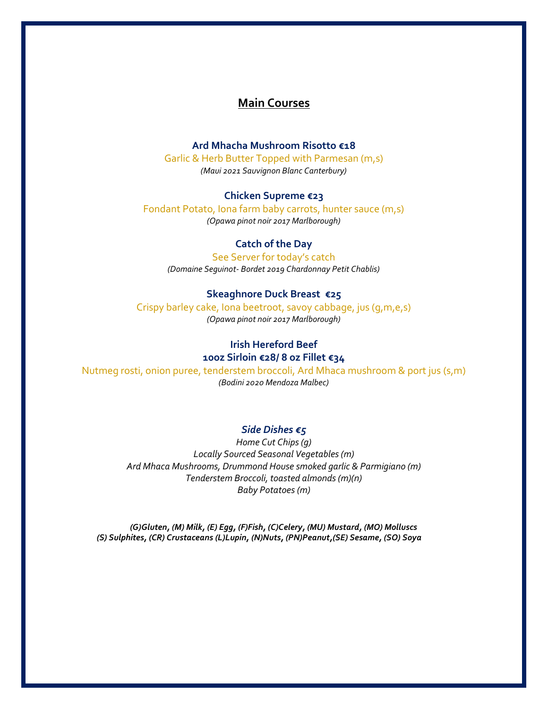# **Main Courses**

# **Ard Mhacha Mushroom Risotto €18**

Garlic & Herb Butter Topped with Parmesan (m,s) *(Maui 2021 Sauvignon Blanc Canterbury)*

### **Chicken Supreme €23**

Fondant Potato, Iona farm baby carrots, hunter sauce (m,s) *(Opawa pinot noir 2017 Marlborough)*

## **Catch of the Day**

See Server for today's catch *(Domaine Seguinot- Bordet 2019 Chardonnay Petit Chablis)*

### **Skeaghnore Duck Breast €25**

Crispy barley cake, Iona beetroot, savoy cabbage, jus (g,m,e,s) *(Opawa pinot noir 2017 Marlborough)*

# **Irish Hereford Beef**

# **10oz Sirloin €28/ 8 oz Fillet €34**

Nutmeg rosti, onion puree, tenderstem broccoli, Ard Mhaca mushroom & port jus (s,m) *(Bodini 2020 Mendoza Malbec)*

### *Side Dishes €5*

*Home Cut Chips (g) Locally Sourced Seasonal Vegetables (m) Ard Mhaca Mushrooms, Drummond House smoked garlic & Parmigiano (m) Tenderstem Broccoli, toasted almonds (m)(n) Baby Potatoes (m)*

*(G)Gluten, (M) Milk, (E) Egg, (F)Fish, (C)Celery, (MU) Mustard, (MO) Molluscs (S) Sulphites, (CR) Crustaceans (L)Lupin, (N)Nuts, (PN)Peanut,(SE) Sesame, (SO) Soya*